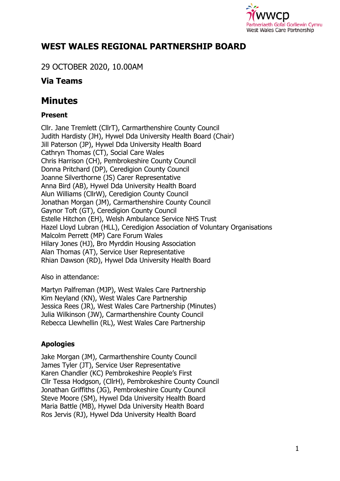

# **WEST WALES REGIONAL PARTNERSHIP BOARD**

29 OCTOBER 2020, 10.00AM

## **Via Teams**

# **Minutes**

### **Present**

Cllr. Jane Tremlett (CllrT), Carmarthenshire County Council Judith Hardisty (JH), Hywel Dda University Health Board (Chair) Jill Paterson (JP), Hywel Dda University Health Board Cathryn Thomas (CT), Social Care Wales Chris Harrison (CH), Pembrokeshire County Council Donna Pritchard (DP), Ceredigion County Council Joanne Silverthorne (JS) Carer Representative Anna Bird (AB), Hywel Dda University Health Board Alun Williams (CllrW), Ceredigion County Council Jonathan Morgan (JM), Carmarthenshire County Council Gaynor Toft (GT), Ceredigion County Council Estelle Hitchon (EH), Welsh Ambulance Service NHS Trust Hazel Lloyd Lubran (HLL), Ceredigion Association of Voluntary Organisations Malcolm Perrett (MP) Care Forum Wales Hilary Jones (HJ), Bro Myrddin Housing Association Alan Thomas (AT), Service User Representative Rhian Dawson (RD), Hywel Dda University Health Board

Also in attendance:

Martyn Palfreman (MJP), West Wales Care Partnership Kim Neyland (KN), West Wales Care Partnership Jessica Rees (JR), West Wales Care Partnership (Minutes) Julia Wilkinson (JW), Carmarthenshire County Council Rebecca Llewhellin (RL), West Wales Care Partnership

### **Apologies**

Jake Morgan (JM), Carmarthenshire County Council James Tyler (JT), Service User Representative Karen Chandler (KC) Pembrokeshire People's First Cllr Tessa Hodgson, (CllrH), Pembrokeshire County Council Jonathan Griffiths (JG), Pembrokeshire County Council Steve Moore (SM), Hywel Dda University Health Board Maria Battle (MB), Hywel Dda University Health Board Ros Jervis (RJ), Hywel Dda University Health Board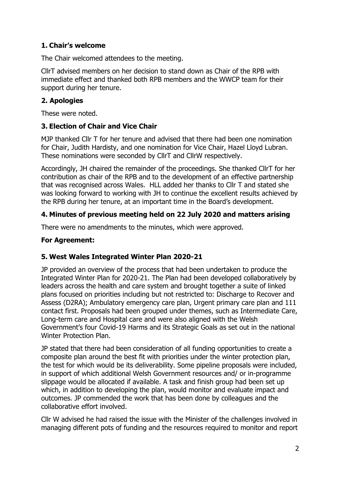### **1. Chair's welcome**

The Chair welcomed attendees to the meeting.

CllrT advised members on her decision to stand down as Chair of the RPB with immediate effect and thanked both RPB members and the WWCP team for their support during her tenure.

#### **2. Apologies**

These were noted.

#### **3. Election of Chair and Vice Chair**

MJP thanked Cllr T for her tenure and advised that there had been one nomination for Chair, Judith Hardisty, and one nomination for Vice Chair, Hazel Lloyd Lubran. These nominations were seconded by CllrT and CllrW respectively.

Accordingly, JH chaired the remainder of the proceedings. She thanked CllrT for her contribution as chair of the RPB and to the development of an effective partnership that was recognised across Wales. HLL added her thanks to Cllr T and stated she was looking forward to working with JH to continue the excellent results achieved by the RPB during her tenure, at an important time in the Board's development.

#### **4. Minutes of previous meeting held on 22 July 2020 and matters arising**

There were no amendments to the minutes, which were approved.

#### **For Agreement:**

#### **5. West Wales Integrated Winter Plan 2020-21**

JP provided an overview of the process that had been undertaken to produce the Integrated Winter Plan for 2020-21. The Plan had been developed collaboratively by leaders across the health and care system and brought together a suite of linked plans focused on priorities including but not restricted to: Discharge to Recover and Assess (D2RA); Ambulatory emergency care plan, Urgent primary care plan and 111 contact first. Proposals had been grouped under themes, such as Intermediate Care, Long-term care and Hospital care and were also aligned with the Welsh Government's four Covid-19 Harms and its Strategic Goals as set out in the national Winter Protection Plan.

JP stated that there had been consideration of all funding opportunities to create a composite plan around the best fit with priorities under the winter protection plan, the test for which would be its deliverability. Some pipeline proposals were included, in support of which additional Welsh Government resources and/ or in-programme slippage would be allocated if available. A task and finish group had been set up which, in addition to developing the plan, would monitor and evaluate impact and outcomes. JP commended the work that has been done by colleagues and the collaborative effort involved.

Cllr W advised he had raised the issue with the Minister of the challenges involved in managing different pots of funding and the resources required to monitor and report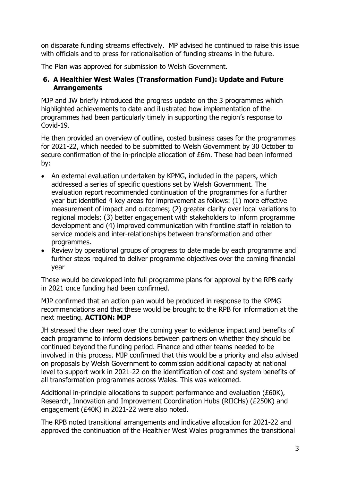on disparate funding streams effectively. MP advised he continued to raise this issue with officials and to press for rationalisation of funding streams in the future.

The Plan was approved for submission to Welsh Government.

#### **6. A Healthier West Wales (Transformation Fund): Update and Future Arrangements**

MJP and JW briefly introduced the progress update on the 3 programmes which highlighted achievements to date and illustrated how implementation of the programmes had been particularly timely in supporting the region's response to Covid-19.

He then provided an overview of outline, costed business cases for the programmes for 2021-22, which needed to be submitted to Welsh Government by 30 October to secure confirmation of the in-principle allocation of £6m. These had been informed by:

- An external evaluation undertaken by KPMG, included in the papers, which addressed a series of specific questions set by Welsh Government. The evaluation report recommended continuation of the programmes for a further year but identified 4 key areas for improvement as follows: (1) more effective measurement of impact and outcomes; (2) greater clarity over local variations to regional models; (3) better engagement with stakeholders to inform programme development and (4) improved communication with frontline staff in relation to service models and inter-relationships between transformation and other programmes.
- Review by operational groups of progress to date made by each programme and further steps required to deliver programme objectives over the coming financial year

These would be developed into full programme plans for approval by the RPB early in 2021 once funding had been confirmed.

MJP confirmed that an action plan would be produced in response to the KPMG recommendations and that these would be brought to the RPB for information at the next meeting. **ACTION: MJP**

JH stressed the clear need over the coming year to evidence impact and benefits of each programme to inform decisions between partners on whether they should be continued beyond the funding period. Finance and other teams needed to be involved in this process. MJP confirmed that this would be a priority and also advised on proposals by Welsh Government to commission additional capacity at national level to support work in 2021-22 on the identification of cost and system benefits of all transformation programmes across Wales. This was welcomed.

Additional in-principle allocations to support performance and evaluation (£60K), Research, Innovation and Improvement Coordination Hubs (RIICHs) (£250K) and engagement (£40K) in 2021-22 were also noted.

The RPB noted transitional arrangements and indicative allocation for 2021-22 and approved the continuation of the Healthier West Wales programmes the transitional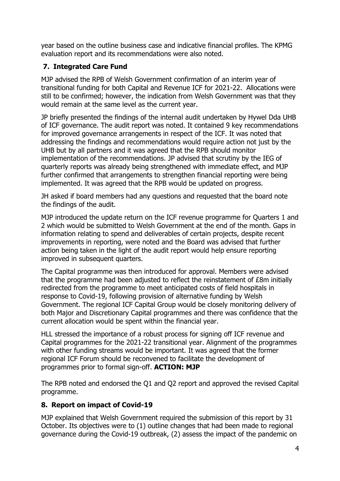year based on the outline business case and indicative financial profiles. The KPMG evaluation report and its recommendations were also noted.

### **7. Integrated Care Fund**

MJP advised the RPB of Welsh Government confirmation of an interim year of transitional funding for both Capital and Revenue ICF for 2021-22. Allocations were still to be confirmed; however, the indication from Welsh Government was that they would remain at the same level as the current year.

JP briefly presented the findings of the internal audit undertaken by Hywel Dda UHB of ICF governance. The audit report was noted. It contained 9 key recommendations for improved governance arrangements in respect of the ICF. It was noted that addressing the findings and recommendations would require action not just by the UHB but by all partners and it was agreed that the RPB should monitor implementation of the recommendations. JP advised that scrutiny by the IEG of quarterly reports was already being strengthened with immediate effect, and MJP further confirmed that arrangements to strengthen financial reporting were being implemented. It was agreed that the RPB would be updated on progress.

JH asked if board members had any questions and requested that the board note the findings of the audit.

MJP introduced the update return on the ICF revenue programme for Quarters 1 and 2 which would be submitted to Welsh Government at the end of the month. Gaps in information relating to spend and deliverables of certain projects, despite recent improvements in reporting, were noted and the Board was advised that further action being taken in the light of the audit report would help ensure reporting improved in subsequent quarters.

The Capital programme was then introduced for approval. Members were advised that the programme had been adjusted to reflect the reinstatement of £8m initially redirected from the programme to meet anticipated costs of field hospitals in response to Covid-19, following provision of alternative funding by Welsh Government. The regional ICF Capital Group would be closely monitoring delivery of both Major and Discretionary Capital programmes and there was confidence that the current allocation would be spent within the financial year.

HLL stressed the importance of a robust process for signing off ICF revenue and Capital programmes for the 2021-22 transitional year. Alignment of the programmes with other funding streams would be important. It was agreed that the former regional ICF Forum should be reconvened to facilitate the development of programmes prior to formal sign-off. **ACTION: MJP**

The RPB noted and endorsed the Q1 and Q2 report and approved the revised Capital programme.

### **8. Report on impact of Covid-19**

MJP explained that Welsh Government required the submission of this report by 31 October. Its objectives were to (1) outline changes that had been made to regional governance during the Covid-19 outbreak, (2) assess the impact of the pandemic on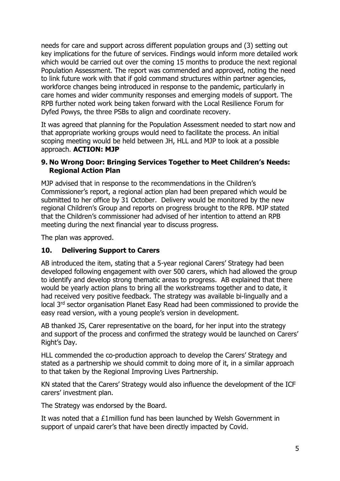needs for care and support across different population groups and (3) setting out key implications for the future of services. Findings would inform more detailed work which would be carried out over the coming 15 months to produce the next regional Population Assessment. The report was commended and approved, noting the need to link future work with that if gold command structures within partner agencies, workforce changes being introduced in response to the pandemic, particularly in care homes and wider community responses and emerging models of support. The RPB further noted work being taken forward with the Local Resilience Forum for Dyfed Powys, the three PSBs to align and coordinate recovery.

It was agreed that planning for the Population Assessment needed to start now and that appropriate working groups would need to facilitate the process. An initial scoping meeting would be held between JH, HLL and MJP to look at a possible approach. **ACTION: MJP**

#### **9. No Wrong Door: Bringing Services Together to Meet Children's Needs: Regional Action Plan**

MJP advised that in response to the recommendations in the Children's Commissioner's report, a regional action plan had been prepared which would be submitted to her office by 31 October. Delivery would be monitored by the new regional Children's Group and reports on progress brought to the RPB. MJP stated that the Children's commissioner had advised of her intention to attend an RPB meeting during the next financial year to discuss progress.

The plan was approved.

#### **10. Delivering Support to Carers**

AB introduced the item, stating that a 5-year regional Carers' Strategy had been developed following engagement with over 500 carers, which had allowed the group to identify and develop strong thematic areas to progress. AB explained that there would be yearly action plans to bring all the workstreams together and to date, it had received very positive feedback. The strategy was available bi-lingually and a local 3rd sector organisation Planet Easy Read had been commissioned to provide the easy read version, with a young people's version in development.

AB thanked JS, Carer representative on the board, for her input into the strategy and support of the process and confirmed the strategy would be launched on Carers' Right's Day.

HLL commended the co-production approach to develop the Carers' Strategy and stated as a partnership we should commit to doing more of it, in a similar approach to that taken by the Regional Improving Lives Partnership.

KN stated that the Carers' Strategy would also influence the development of the ICF carers' investment plan.

The Strategy was endorsed by the Board.

It was noted that a £1million fund has been launched by Welsh Government in support of unpaid carer's that have been directly impacted by Covid.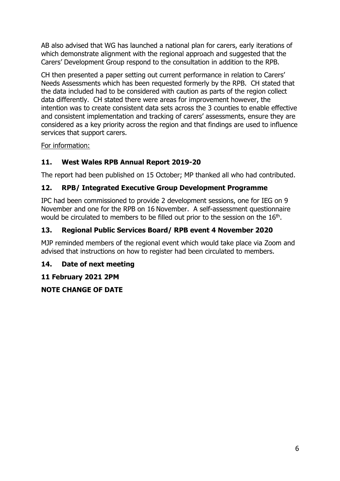AB also advised that WG has launched a national plan for carers, early iterations of which demonstrate alignment with the regional approach and suggested that the Carers' Development Group respond to the consultation in addition to the RPB.

CH then presented a paper setting out current performance in relation to Carers' Needs Assessments which has been requested formerly by the RPB. CH stated that the data included had to be considered with caution as parts of the region collect data differently. CH stated there were areas for improvement however, the intention was to create consistent data sets across the 3 counties to enable effective and consistent implementation and tracking of carers' assessments, ensure they are considered as a key priority across the region and that findings are used to influence services that support carers.

For information:

## **11. West Wales RPB Annual Report 2019-20**

The report had been published on 15 October; MP thanked all who had contributed.

### **12. RPB/ Integrated Executive Group Development Programme**

IPC had been commissioned to provide 2 development sessions, one for IEG on 9 November and one for the RPB on 16 November. A self-assessment questionnaire would be circulated to members to be filled out prior to the session on the 16<sup>th</sup>.

### **13. Regional Public Services Board/ RPB event 4 November 2020**

MJP reminded members of the regional event which would take place via Zoom and advised that instructions on how to register had been circulated to members.

### **14. Date of next meeting**

**11 February 2021 2PM**

**NOTE CHANGE OF DATE**